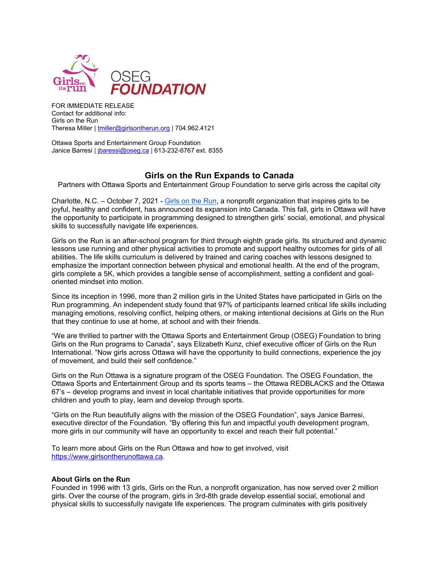

FOR IMMEDIATE RELEASE Contact for additional info: Girls on the Run Theresa Miller | [tmiller@girlsontherun.org](mailto:tmiller@girlsontherun.org) | 704.962.4121

Ottawa Sports and Entertainment Group Foundation Janice Barresi | [jbaressi@oseg.ca](mailto:jbaressi@oseg.ca) | 613-232-6767 ext. 8355

## **Girls on the Run Expands to Canada**

Partners with Ottawa Sports and Entertainment Group Foundation to serve girls across the capital city

Charlotte, N.C. – October 7, 2021 - [Girls on the Run,](https://www.girlsontherun.org/) a nonprofit organization that inspires girls to be joyful, healthy and confident, has announced its expansion into Canada. This fall, girls in Ottawa will have the opportunity to participate in programming designed to strengthen girls' social, emotional, and physical skills to successfully navigate life experiences.

Girls on the Run is an after-school program for third through eighth grade girls. Its structured and dynamic lessons use running and other physical activities to promote and support healthy outcomes for girls of all abilities. The life skills curriculum is delivered by trained and caring coaches with lessons designed to emphasize the important connection between physical and emotional health. At the end of the program, girls complete a 5K, which provides a tangible sense of accomplishment, setting a confident and goaloriented mindset into motion.

Since its inception in 1996, more than 2 million girls in the United States have participated in Girls on the Run programming. An independent study found that 97% of participants learned critical life skills including managing emotions, resolving conflict, helping others, or making intentional decisions at Girls on the Run that they continue to use at home, at school and with their friends.

"We are thrilled to partner with the Ottawa Sports and Entertainment Group (OSEG) Foundation to bring Girls on the Run programs to Canada", says Elizabeth Kunz, chief executive officer of Girls on the Run International. "Now girls across Ottawa will have the opportunity to build connections, experience the joy of movement, and build their self confidence."

Girls on the Run Ottawa is a signature program of the OSEG Foundation. The OSEG Foundation, the Ottawa Sports and Entertainment Group and its sports teams – the Ottawa REDBLACKS and the Ottawa 67's – develop programs and invest in local charitable initiatives that provide opportunities for more children and youth to play, learn and develop through sports.

"Girls on the Run beautifully aligns with the mission of the OSEG Foundation", says Janice Barresi, executive director of the Foundation. "By offering this fun and impactful youth development program, more girls in our community will have an opportunity to excel and reach their full potential."

To learn more about Girls on the Run Ottawa and how to get involved, visit [https://www.girlsontherunottawa.ca.](https://www.girlsontherunottawa.ca/)

## **About Girls on the Run**

Founded in 1996 with 13 girls, Girls on the Run, a nonprofit organization, has now served over 2 million girls. Over the course of the program, girls in 3rd-8th grade develop essential social, emotional and physical skills to successfully navigate life experiences. The program culminates with girls positively